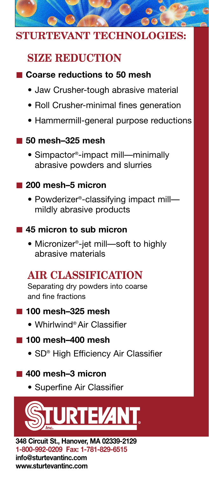

### **STURTEVANT TECHNOLOGIES:**

## **SIZE REDUCTION**

### **Coarse reductions to 50 mesh**

- Jaw Crusher-tough abrasive material
- Roll Crusher-minimal fines generation
- Hammermill-general purpose reductions

### **50 mesh–325 mesh**

• Simpactor®-impact mill—minimally abrasive powders and slurries

### **200 mesh–5 micron**

• Powderizer®-classifying impact mill mildly abrasive products

### **45 micron to sub micron**

• Micronizer®-jet mill—soft to highly abrasive materials

# **AIR CLASSIFICATION**

Separating dry powders into coarse and fine fractions

### **100 mesh–325 mesh**

• Whirlwind® Air Classifier

### **100 mesh–400 mesh**

• SD® High Efficiency Air Classifier

### **400 mesh–3 micron**

• Superfine Air Classifier



**348 Circuit St., Hanover, MA 02339-2129 1-800-992-0209 Fax: 1-781-829-6515 info@sturtevantinc.com www.sturtevantinc.com**